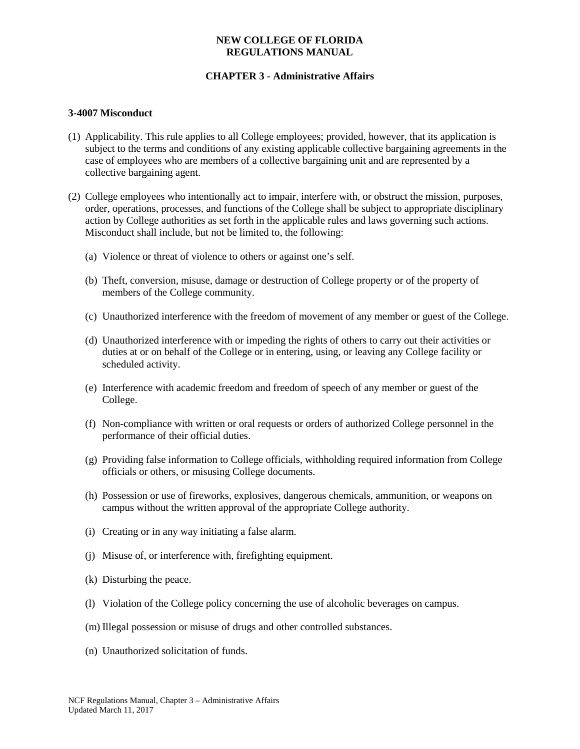## **NEW COLLEGE OF FLORIDA REGULATIONS MANUAL**

## **CHAPTER 3 - Administrative Affairs**

#### **3-4007 Misconduct**

- (1) Applicability. This rule applies to all College employees; provided, however, that its application is subject to the terms and conditions of any existing applicable collective bargaining agreements in the case of employees who are members of a collective bargaining unit and are represented by a collective bargaining agent.
- (2) College employees who intentionally act to impair, interfere with, or obstruct the mission, purposes, order, operations, processes, and functions of the College shall be subject to appropriate disciplinary action by College authorities as set forth in the applicable rules and laws governing such actions. Misconduct shall include, but not be limited to, the following:
	- (a) Violence or threat of violence to others or against one's self.
	- (b) Theft, conversion, misuse, damage or destruction of College property or of the property of members of the College community.
	- (c) Unauthorized interference with the freedom of movement of any member or guest of the College.
	- (d) Unauthorized interference with or impeding the rights of others to carry out their activities or duties at or on behalf of the College or in entering, using, or leaving any College facility or scheduled activity.
	- (e) Interference with academic freedom and freedom of speech of any member or guest of the College.
	- (f) Non-compliance with written or oral requests or orders of authorized College personnel in the performance of their official duties.
	- (g) Providing false information to College officials, withholding required information from College officials or others, or misusing College documents.
	- (h) Possession or use of fireworks, explosives, dangerous chemicals, ammunition, or weapons on campus without the written approval of the appropriate College authority.
	- (i) Creating or in any way initiating a false alarm.
	- (j) Misuse of, or interference with, firefighting equipment.
	- (k) Disturbing the peace.
	- (l) Violation of the College policy concerning the use of alcoholic beverages on campus.
	- (m) Illegal possession or misuse of drugs and other controlled substances.
	- (n) Unauthorized solicitation of funds.